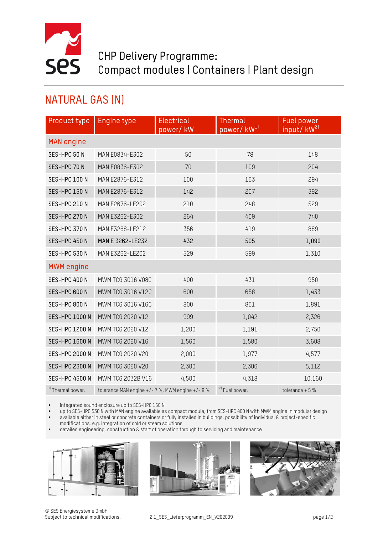

## CHP Delivery Programme: Compact modules | Containers | Plant design

## NATURAL GAS (N)

| Product type                                            | <b>Engine type</b>                           | <b>Electrical</b> | <b>Thermal</b>            | <b>Fuel power</b><br>input/kW <sup>21</sup> |  |  |  |
|---------------------------------------------------------|----------------------------------------------|-------------------|---------------------------|---------------------------------------------|--|--|--|
| power/kW <sup>1)</sup><br>power/kW<br><b>MAN</b> engine |                                              |                   |                           |                                             |  |  |  |
| SES-HPC 50 N                                            | MAN E0834-E302                               | 50                | 78                        | 148                                         |  |  |  |
| SES-HPC 70 N                                            | MAN E0836-E302                               | 70                | 109                       | 204                                         |  |  |  |
|                                                         |                                              |                   |                           |                                             |  |  |  |
| SES-HPC 100 N                                           | MAN E2876-E312                               | 100               | 163                       | 294                                         |  |  |  |
| SES-HPC 150 N                                           | MAN E2876-E312                               | 142               | 207                       | 392                                         |  |  |  |
| SES-HPC 210 N                                           | MAN E2676-LE202                              | 210               | 248                       | 529                                         |  |  |  |
| SES-HPC 270 N                                           | MAN E3262-E302                               | 264               | 409                       | 740                                         |  |  |  |
| SES-HPC 370 N                                           | MAN E3268-LE212                              | 356               | 419                       | 889                                         |  |  |  |
| SES-HPC 450 N                                           | MAN E 3262-LE232                             | 432               | 505                       | 1,090                                       |  |  |  |
| SES-HPC 530 N                                           | MAN E3262-LE202                              | 529               | 599                       | 1,310                                       |  |  |  |
| <b>MWM</b> engine                                       |                                              |                   |                           |                                             |  |  |  |
| SES-HPC 400 N                                           | MWM TCG 3016 V08C                            | 400               | 431                       | 950                                         |  |  |  |
| SES-HPC 600 N                                           | MWM TCG 3016 V12C                            | 600               | 658                       | 1,433                                       |  |  |  |
| SES-HPC 800 N                                           | MWM TCG 3016 V16C                            | 800               | 861                       | 1,891                                       |  |  |  |
| <b>SES-HPC 1000 N</b>                                   | MWM TCG 2020 V12                             | 999               | 1,042                     | 2,326                                       |  |  |  |
| <b>SES-HPC 1200 N</b>                                   | MWM TCG 2020 V12                             | 1,200             | 1,191                     | 2,750                                       |  |  |  |
| <b>SES-HPC 1600 N</b>                                   | MWM TCG 2020 V16                             | 1,560             | 1,580                     | 3,608                                       |  |  |  |
| <b>SES-HPC 2000 N</b>                                   | MWM TCG 2020 V20                             | 2,000             | 1,977                     | 4,577                                       |  |  |  |
| <b>SES-HPC 2300 N</b>                                   | MWM TCG 3020 V20                             | 2,300             | 2,306                     | 5,112                                       |  |  |  |
| <b>SES-HPC 4500 N</b>                                   | MWM TCG 2032B V16                            | 4,500             | 4,318                     | 10,160                                      |  |  |  |
| <sup>1)</sup> Thermal power:                            | tolerance MAN engine +/-7%, MWM engine +/-8% |                   | <sup>2)</sup> Fuel power: | tolerance $+5%$                             |  |  |  |

integrated sound enclosure up to SES-HPC 150 N

up to SES-HPC 530 N with MAN engine available as compact module, from SES-HPC 400 N with MWM engine in modular design

 available either in steel or concrete containers or fully installed in buildings, possibility of individual & project-specific modifications, e.g. integration of cold or steam solutions

detailed engineering, construction & start of operation through to servicing and maintenance